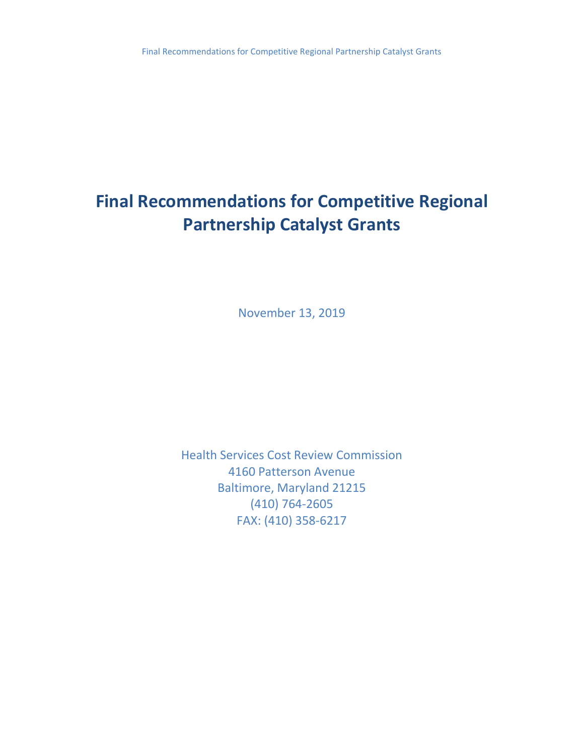# **Final Recommendations for Competitive Regional Partnership Catalyst Grants**

November 13, 2019

Health Services Cost Review Commission 4160 Patterson Avenue Baltimore, Maryland 21215 (410) 764-2605 FAX: (410) 358-6217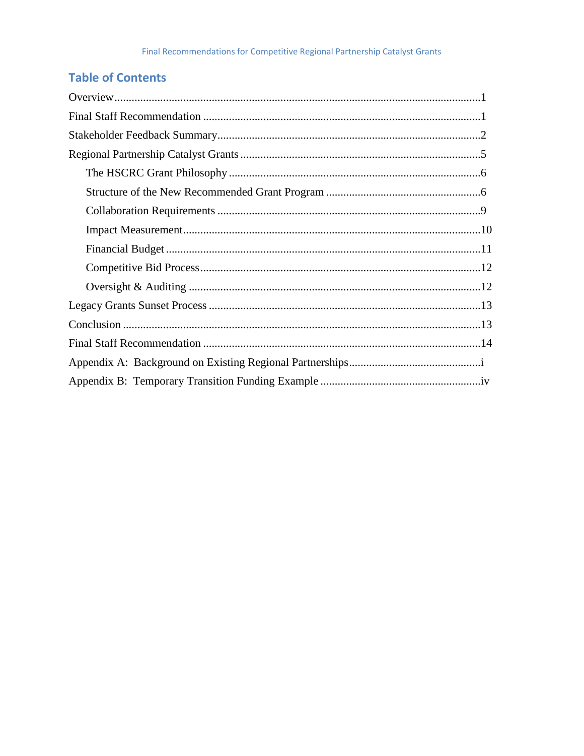## **Table of Contents**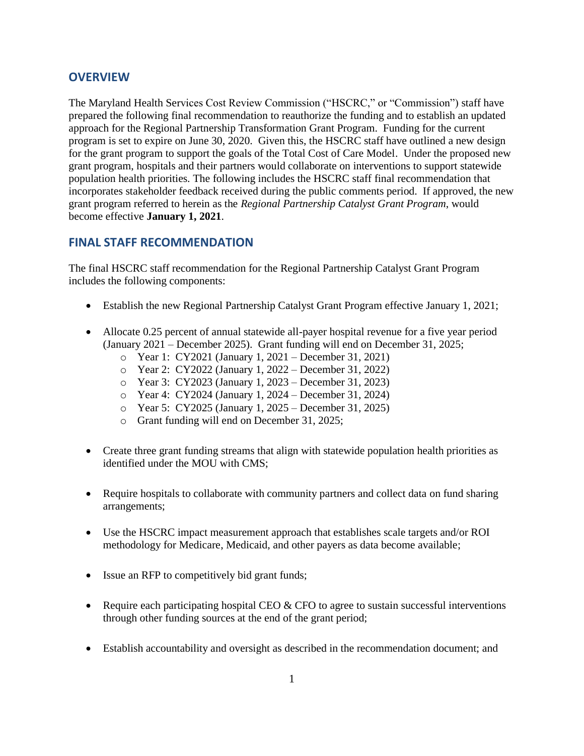## <span id="page-2-0"></span>**OVERVIEW**

The Maryland Health Services Cost Review Commission ("HSCRC," or "Commission") staff have prepared the following final recommendation to reauthorize the funding and to establish an updated approach for the Regional Partnership Transformation Grant Program. Funding for the current program is set to expire on June 30, 2020. Given this, the HSCRC staff have outlined a new design for the grant program to support the goals of the Total Cost of Care Model. Under the proposed new grant program, hospitals and their partners would collaborate on interventions to support statewide population health priorities. The following includes the HSCRC staff final recommendation that incorporates stakeholder feedback received during the public comments period. If approved, the new grant program referred to herein as the *Regional Partnership Catalyst Grant Program*, would become effective **January 1, 2021**.

## <span id="page-2-1"></span>**FINAL STAFF RECOMMENDATION**

The final HSCRC staff recommendation for the Regional Partnership Catalyst Grant Program includes the following components:

- Establish the new Regional Partnership Catalyst Grant Program effective January 1, 2021;
- Allocate 0.25 percent of annual statewide all-payer hospital revenue for a five year period (January 2021 – December 2025). Grant funding will end on December 31, 2025;
	- o Year 1: CY2021 (January 1, 2021 December 31, 2021)
	- o Year 2: CY2022 (January 1, 2022 December 31, 2022)
	- o Year 3: CY2023 (January 1, 2023 December 31, 2023)
	- o Year 4: CY2024 (January 1, 2024 December 31, 2024)
	- o Year 5: CY2025 (January 1, 2025 December 31, 2025)
	- o Grant funding will end on December 31, 2025;
- Create three grant funding streams that align with statewide population health priorities as identified under the MOU with CMS;
- Require hospitals to collaborate with community partners and collect data on fund sharing arrangements;
- Use the HSCRC impact measurement approach that establishes scale targets and/or ROI methodology for Medicare, Medicaid, and other payers as data become available;
- Issue an RFP to competitively bid grant funds;
- Require each participating hospital CEO  $&$  CFO to agree to sustain successful interventions through other funding sources at the end of the grant period;
- Establish accountability and oversight as described in the recommendation document; and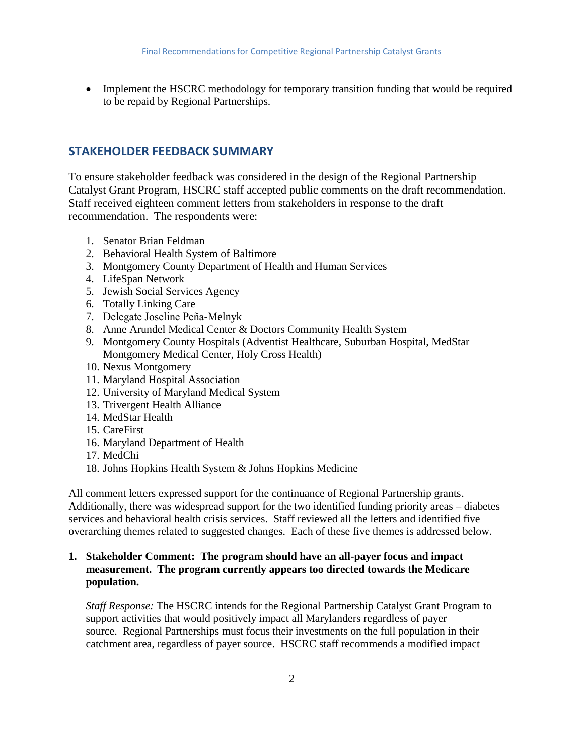• Implement the HSCRC methodology for temporary transition funding that would be required to be repaid by Regional Partnerships.

#### <span id="page-3-0"></span>**STAKEHOLDER FEEDBACK SUMMARY**

To ensure stakeholder feedback was considered in the design of the Regional Partnership Catalyst Grant Program, HSCRC staff accepted public comments on the draft recommendation. Staff received eighteen comment letters from stakeholders in response to the draft recommendation. The respondents were:

- 1. Senator Brian Feldman
- 2. Behavioral Health System of Baltimore
- 3. Montgomery County Department of Health and Human Services
- 4. LifeSpan Network
- 5. Jewish Social Services Agency
- 6. Totally Linking Care
- 7. Delegate Joseline Peña-Melnyk
- 8. Anne Arundel Medical Center & Doctors Community Health System
- 9. Montgomery County Hospitals (Adventist Healthcare, Suburban Hospital, MedStar Montgomery Medical Center, Holy Cross Health)
- 10. Nexus Montgomery
- 11. Maryland Hospital Association
- 12. University of Maryland Medical System
- 13. Trivergent Health Alliance
- 14. MedStar Health
- 15. CareFirst
- 16. Maryland Department of Health
- 17. MedChi
- 18. Johns Hopkins Health System & Johns Hopkins Medicine

All comment letters expressed support for the continuance of Regional Partnership grants. Additionally, there was widespread support for the two identified funding priority areas – diabetes services and behavioral health crisis services. Staff reviewed all the letters and identified five overarching themes related to suggested changes. Each of these five themes is addressed below.

#### **1. Stakeholder Comment: The program should have an all-payer focus and impact measurement. The program currently appears too directed towards the Medicare population.**

*Staff Response:* The HSCRC intends for the Regional Partnership Catalyst Grant Program to support activities that would positively impact all Marylanders regardless of payer source. Regional Partnerships must focus their investments on the full population in their catchment area, regardless of payer source. HSCRC staff recommends a modified impact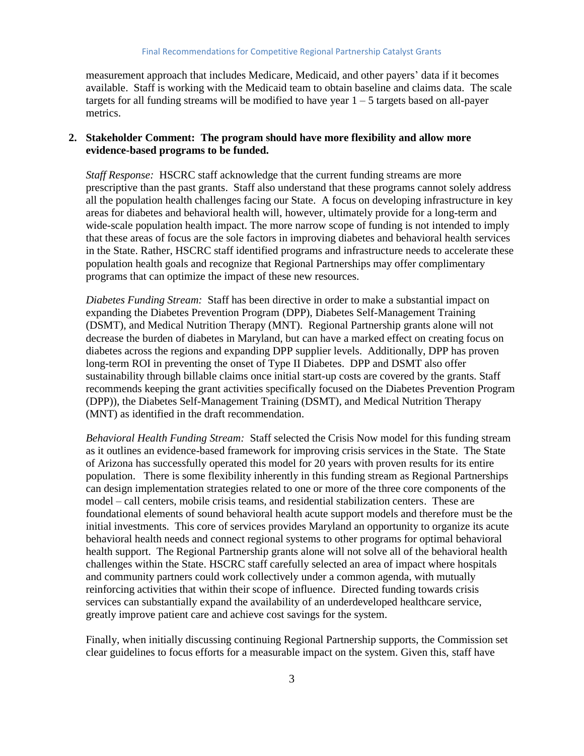measurement approach that includes Medicare, Medicaid, and other payers' data if it becomes available. Staff is working with the Medicaid team to obtain baseline and claims data. The scale targets for all funding streams will be modified to have year  $1 - 5$  targets based on all-payer metrics.

#### **2. Stakeholder Comment: The program should have more flexibility and allow more evidence-based programs to be funded.**

*Staff Response:* HSCRC staff acknowledge that the current funding streams are more prescriptive than the past grants. Staff also understand that these programs cannot solely address all the population health challenges facing our State. A focus on developing infrastructure in key areas for diabetes and behavioral health will, however, ultimately provide for a long-term and wide-scale population health impact. The more narrow scope of funding is not intended to imply that these areas of focus are the sole factors in improving diabetes and behavioral health services in the State. Rather, HSCRC staff identified programs and infrastructure needs to accelerate these population health goals and recognize that Regional Partnerships may offer complimentary programs that can optimize the impact of these new resources*.*

*Diabetes Funding Stream:* Staff has been directive in order to make a substantial impact on expanding the Diabetes Prevention Program (DPP), Diabetes Self-Management Training (DSMT), and Medical Nutrition Therapy (MNT). Regional Partnership grants alone will not decrease the burden of diabetes in Maryland, but can have a marked effect on creating focus on diabetes across the regions and expanding DPP supplier levels. Additionally, DPP has proven long-term ROI in preventing the onset of Type II Diabetes. DPP and DSMT also offer sustainability through billable claims once initial start-up costs are covered by the grants. Staff recommends keeping the grant activities specifically focused on the Diabetes Prevention Program (DPP)), the Diabetes Self-Management Training (DSMT), and Medical Nutrition Therapy (MNT) as identified in the draft recommendation.

*Behavioral Health Funding Stream:* Staff selected the Crisis Now model for this funding stream as it outlines an evidence-based framework for improving crisis services in the State. The State of Arizona has successfully operated this model for 20 years with proven results for its entire population. There is some flexibility inherently in this funding stream as Regional Partnerships can design implementation strategies related to one or more of the three core components of the model – call centers, mobile crisis teams, and residential stabilization centers. These are foundational elements of sound behavioral health acute support models and therefore must be the initial investments. This core of services provides Maryland an opportunity to organize its acute behavioral health needs and connect regional systems to other programs for optimal behavioral health support. The Regional Partnership grants alone will not solve all of the behavioral health challenges within the State. HSCRC staff carefully selected an area of impact where hospitals and community partners could work collectively under a common agenda, with mutually reinforcing activities that within their scope of influence. Directed funding towards crisis services can substantially expand the availability of an underdeveloped healthcare service, greatly improve patient care and achieve cost savings for the system.

Finally, when initially discussing continuing Regional Partnership supports, the Commission set clear guidelines to focus efforts for a measurable impact on the system. Given this, staff have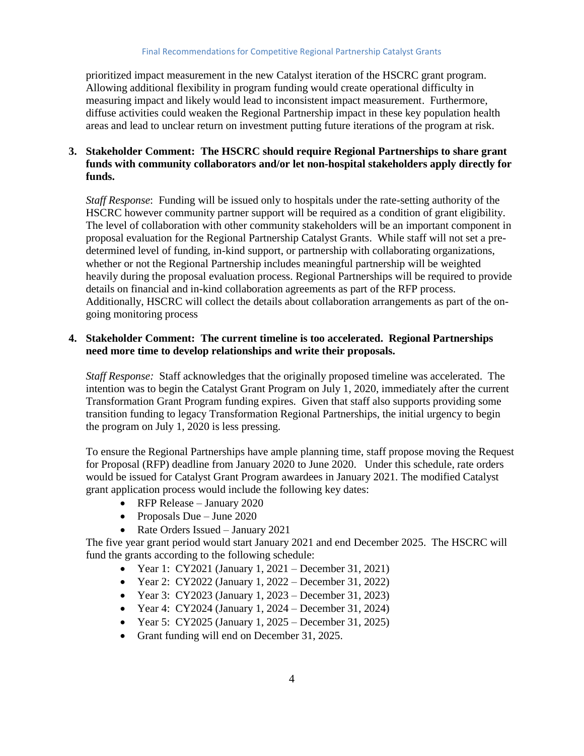prioritized impact measurement in the new Catalyst iteration of the HSCRC grant program. Allowing additional flexibility in program funding would create operational difficulty in measuring impact and likely would lead to inconsistent impact measurement. Furthermore, diffuse activities could weaken the Regional Partnership impact in these key population health areas and lead to unclear return on investment putting future iterations of the program at risk.

### **3. Stakeholder Comment: The HSCRC should require Regional Partnerships to share grant funds with community collaborators and/or let non-hospital stakeholders apply directly for funds.**

*Staff Response*: Funding will be issued only to hospitals under the rate-setting authority of the HSCRC however community partner support will be required as a condition of grant eligibility. The level of collaboration with other community stakeholders will be an important component in proposal evaluation for the Regional Partnership Catalyst Grants. While staff will not set a predetermined level of funding, in-kind support, or partnership with collaborating organizations, whether or not the Regional Partnership includes meaningful partnership will be weighted heavily during the proposal evaluation process. Regional Partnerships will be required to provide details on financial and in-kind collaboration agreements as part of the RFP process. Additionally, HSCRC will collect the details about collaboration arrangements as part of the ongoing monitoring process

#### **4. Stakeholder Comment: The current timeline is too accelerated. Regional Partnerships need more time to develop relationships and write their proposals.**

*Staff Response:* Staff acknowledges that the originally proposed timeline was accelerated. The intention was to begin the Catalyst Grant Program on July 1, 2020, immediately after the current Transformation Grant Program funding expires. Given that staff also supports providing some transition funding to legacy Transformation Regional Partnerships, the initial urgency to begin the program on July 1, 2020 is less pressing.

To ensure the Regional Partnerships have ample planning time, staff propose moving the Request for Proposal (RFP) deadline from January 2020 to June 2020. Under this schedule, rate orders would be issued for Catalyst Grant Program awardees in January 2021. The modified Catalyst grant application process would include the following key dates:

- RFP Release January 2020
- Proposals Due June 2020
- Rate Orders Issued January 2021

The five year grant period would start January 2021 and end December 2025. The HSCRC will fund the grants according to the following schedule:

- Year 1: CY2021 (January 1, 2021 December 31, 2021)
- Year 2: CY2022 (January 1, 2022 December 31, 2022)
- Year 3: CY2023 (January 1, 2023 December 31, 2023)
- Year 4: CY2024 (January 1, 2024 December 31, 2024)
- Year 5: CY2025 (January 1, 2025 December 31, 2025)
- Grant funding will end on December 31, 2025.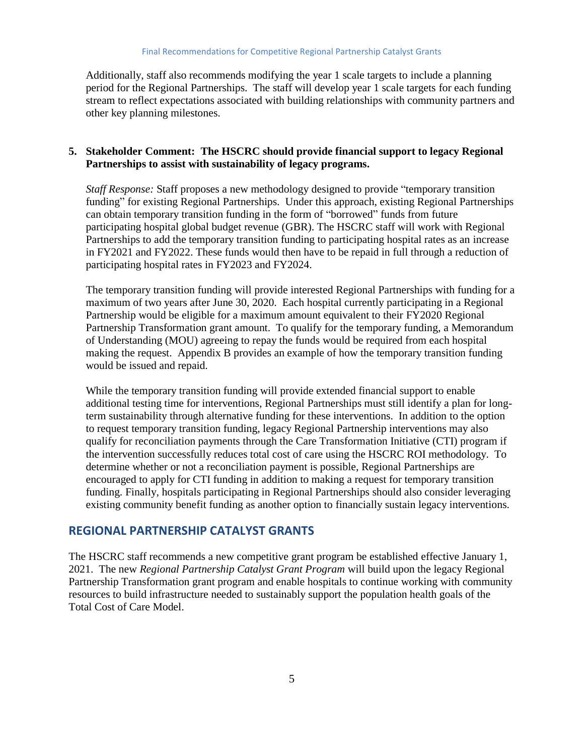Additionally, staff also recommends modifying the year 1 scale targets to include a planning period for the Regional Partnerships. The staff will develop year 1 scale targets for each funding stream to reflect expectations associated with building relationships with community partners and other key planning milestones.

#### **5. Stakeholder Comment: The HSCRC should provide financial support to legacy Regional Partnerships to assist with sustainability of legacy programs.**

*Staff Response:* Staff proposes a new methodology designed to provide "temporary transition funding" for existing Regional Partnerships. Under this approach, existing Regional Partnerships can obtain temporary transition funding in the form of "borrowed" funds from future participating hospital global budget revenue (GBR). The HSCRC staff will work with Regional Partnerships to add the temporary transition funding to participating hospital rates as an increase in FY2021 and FY2022. These funds would then have to be repaid in full through a reduction of participating hospital rates in FY2023 and FY2024.

The temporary transition funding will provide interested Regional Partnerships with funding for a maximum of two years after June 30, 2020. Each hospital currently participating in a Regional Partnership would be eligible for a maximum amount equivalent to their FY2020 Regional Partnership Transformation grant amount. To qualify for the temporary funding, a Memorandum of Understanding (MOU) agreeing to repay the funds would be required from each hospital making the request. Appendix B provides an example of how the temporary transition funding would be issued and repaid.

While the temporary transition funding will provide extended financial support to enable additional testing time for interventions, Regional Partnerships must still identify a plan for longterm sustainability through alternative funding for these interventions. In addition to the option to request temporary transition funding, legacy Regional Partnership interventions may also qualify for reconciliation payments through the Care Transformation Initiative (CTI) program if the intervention successfully reduces total cost of care using the HSCRC ROI methodology. To determine whether or not a reconciliation payment is possible, Regional Partnerships are encouraged to apply for CTI funding in addition to making a request for temporary transition funding. Finally, hospitals participating in Regional Partnerships should also consider leveraging existing community benefit funding as another option to financially sustain legacy interventions.

## <span id="page-6-0"></span>**REGIONAL PARTNERSHIP CATALYST GRANTS**

The HSCRC staff recommends a new competitive grant program be established effective January 1, 2021. The new *Regional Partnership Catalyst Grant Program* will build upon the legacy Regional Partnership Transformation grant program and enable hospitals to continue working with community resources to build infrastructure needed to sustainably support the population health goals of the Total Cost of Care Model.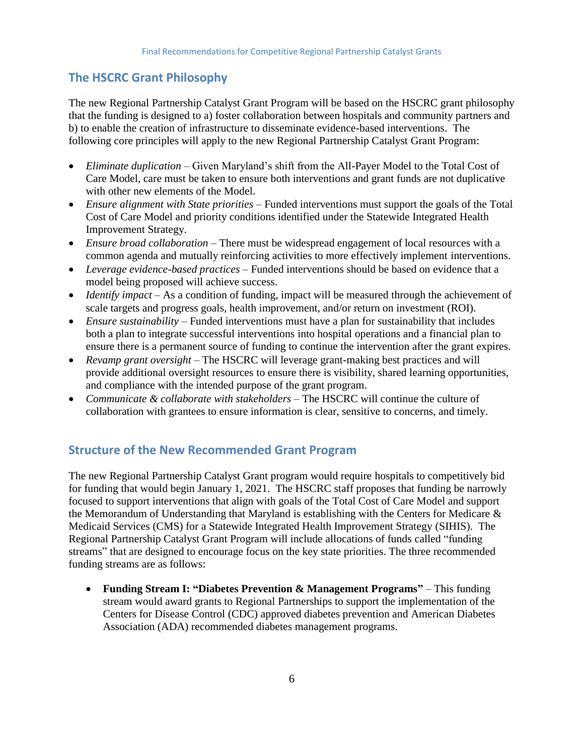## <span id="page-7-0"></span>**The HSCRC Grant Philosophy**

The new Regional Partnership Catalyst Grant Program will be based on the HSCRC grant philosophy that the funding is designed to a) foster collaboration between hospitals and community partners and b) to enable the creation of infrastructure to disseminate evidence-based interventions. The following core principles will apply to the new Regional Partnership Catalyst Grant Program:

- *Eliminate duplication* Given Maryland's shift from the All-Payer Model to the Total Cost of Care Model, care must be taken to ensure both interventions and grant funds are not duplicative with other new elements of the Model.
- *Ensure alignment with State priorities* Funded interventions must support the goals of the Total Cost of Care Model and priority conditions identified under the Statewide Integrated Health Improvement Strategy.
- *Ensure broad collaboration* There must be widespread engagement of local resources with a common agenda and mutually reinforcing activities to more effectively implement interventions.
- *Leverage evidence-based practices* Funded interventions should be based on evidence that a model being proposed will achieve success.
- *Identify impact* As a condition of funding, impact will be measured through the achievement of scale targets and progress goals, health improvement, and/or return on investment (ROI).
- *Ensure sustainability* Funded interventions must have a plan for sustainability that includes both a plan to integrate successful interventions into hospital operations and a financial plan to ensure there is a permanent source of funding to continue the intervention after the grant expires.
- *Revamp grant oversight* The HSCRC will leverage grant-making best practices and will provide additional oversight resources to ensure there is visibility, shared learning opportunities, and compliance with the intended purpose of the grant program.
- *Communicate & collaborate with stakeholders* The HSCRC will continue the culture of collaboration with grantees to ensure information is clear, sensitive to concerns, and timely.

## <span id="page-7-1"></span>**Structure of the New Recommended Grant Program**

The new Regional Partnership Catalyst Grant program would require hospitals to competitively bid for funding that would begin January 1, 2021. The HSCRC staff proposes that funding be narrowly focused to support interventions that align with goals of the Total Cost of Care Model and support the Memorandum of Understanding that Maryland is establishing with the Centers for Medicare & Medicaid Services (CMS) for a Statewide Integrated Health Improvement Strategy (SIHIS). The Regional Partnership Catalyst Grant Program will include allocations of funds called "funding streams" that are designed to encourage focus on the key state priorities. The three recommended funding streams are as follows:

 **Funding Stream I: "Diabetes Prevention & Management Programs"** – This funding stream would award grants to Regional Partnerships to support the implementation of the Centers for Disease Control (CDC) approved diabetes prevention and American Diabetes Association (ADA) recommended diabetes management programs.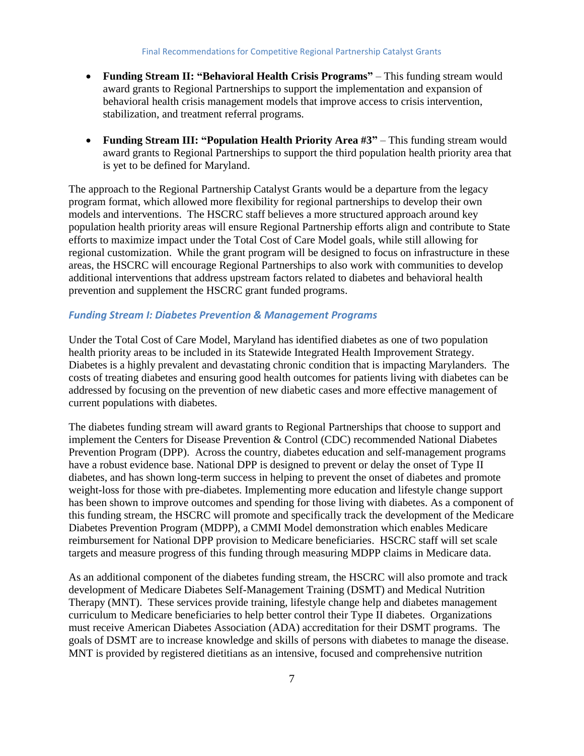- **Funding Stream II: "Behavioral Health Crisis Programs"** This funding stream would award grants to Regional Partnerships to support the implementation and expansion of behavioral health crisis management models that improve access to crisis intervention, stabilization, and treatment referral programs.
- **Funding Stream III: "Population Health Priority Area #3"** This funding stream would award grants to Regional Partnerships to support the third population health priority area that is yet to be defined for Maryland.

The approach to the Regional Partnership Catalyst Grants would be a departure from the legacy program format, which allowed more flexibility for regional partnerships to develop their own models and interventions. The HSCRC staff believes a more structured approach around key population health priority areas will ensure Regional Partnership efforts align and contribute to State efforts to maximize impact under the Total Cost of Care Model goals, while still allowing for regional customization. While the grant program will be designed to focus on infrastructure in these areas, the HSCRC will encourage Regional Partnerships to also work with communities to develop additional interventions that address upstream factors related to diabetes and behavioral health prevention and supplement the HSCRC grant funded programs.

#### *Funding Stream I: Diabetes Prevention & Management Programs*

Under the Total Cost of Care Model, Maryland has identified diabetes as one of two population health priority areas to be included in its Statewide Integrated Health Improvement Strategy. Diabetes is a highly prevalent and devastating chronic condition that is impacting Marylanders. The costs of treating diabetes and ensuring good health outcomes for patients living with diabetes can be addressed by focusing on the prevention of new diabetic cases and more effective management of current populations with diabetes.

The diabetes funding stream will award grants to Regional Partnerships that choose to support and implement the Centers for Disease Prevention & Control (CDC) recommended National Diabetes Prevention Program (DPP). Across the country, diabetes education and self-management programs have a robust evidence base. National DPP is designed to prevent or delay the onset of Type II diabetes, and has shown long-term success in helping to prevent the onset of diabetes and promote weight-loss for those with pre-diabetes. Implementing more education and lifestyle change support has been shown to improve outcomes and spending for those living with diabetes. As a component of this funding stream, the HSCRC will promote and specifically track the development of the Medicare Diabetes Prevention Program (MDPP), a CMMI Model demonstration which enables Medicare reimbursement for National DPP provision to Medicare beneficiaries. HSCRC staff will set scale targets and measure progress of this funding through measuring MDPP claims in Medicare data.

As an additional component of the diabetes funding stream, the HSCRC will also promote and track development of Medicare Diabetes Self-Management Training (DSMT) and Medical Nutrition Therapy (MNT). These services provide training, lifestyle change help and diabetes management curriculum to Medicare beneficiaries to help better control their Type II diabetes. Organizations must receive American Diabetes Association (ADA) accreditation for their DSMT programs. The goals of DSMT are to increase knowledge and skills of persons with diabetes to manage the disease. MNT is provided by registered dietitians as an intensive, focused and comprehensive nutrition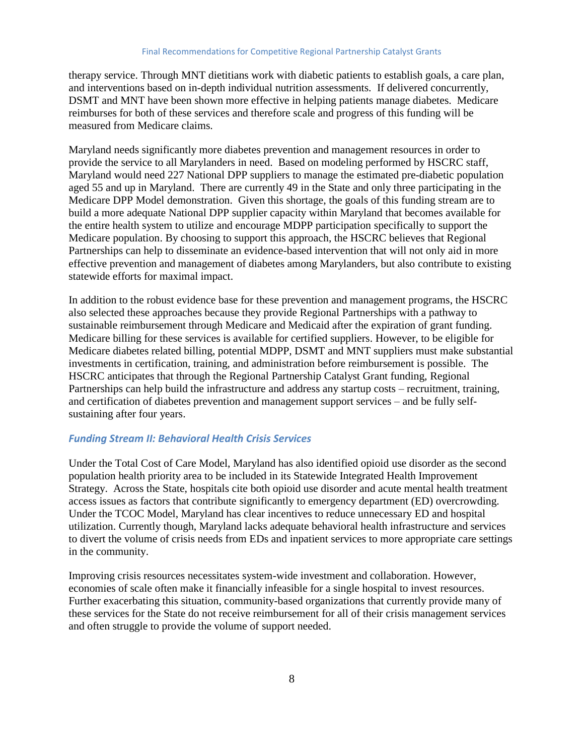therapy service. Through MNT dietitians work with diabetic patients to establish goals, a care plan, and interventions based on in-depth individual nutrition assessments. If delivered concurrently, DSMT and MNT have been shown more effective in helping patients manage diabetes. Medicare reimburses for both of these services and therefore scale and progress of this funding will be measured from Medicare claims.

Maryland needs significantly more diabetes prevention and management resources in order to provide the service to all Marylanders in need. Based on modeling performed by HSCRC staff, Maryland would need 227 National DPP suppliers to manage the estimated pre-diabetic population aged 55 and up in Maryland. There are currently 49 in the State and only three participating in the Medicare DPP Model demonstration. Given this shortage, the goals of this funding stream are to build a more adequate National DPP supplier capacity within Maryland that becomes available for the entire health system to utilize and encourage MDPP participation specifically to support the Medicare population. By choosing to support this approach, the HSCRC believes that Regional Partnerships can help to disseminate an evidence-based intervention that will not only aid in more effective prevention and management of diabetes among Marylanders, but also contribute to existing statewide efforts for maximal impact.

In addition to the robust evidence base for these prevention and management programs, the HSCRC also selected these approaches because they provide Regional Partnerships with a pathway to sustainable reimbursement through Medicare and Medicaid after the expiration of grant funding. Medicare billing for these services is available for certified suppliers. However, to be eligible for Medicare diabetes related billing, potential MDPP, DSMT and MNT suppliers must make substantial investments in certification, training, and administration before reimbursement is possible. The HSCRC anticipates that through the Regional Partnership Catalyst Grant funding, Regional Partnerships can help build the infrastructure and address any startup costs – recruitment, training, and certification of diabetes prevention and management support services – and be fully selfsustaining after four years.

#### *Funding Stream II: Behavioral Health Crisis Services*

Under the Total Cost of Care Model, Maryland has also identified opioid use disorder as the second population health priority area to be included in its Statewide Integrated Health Improvement Strategy. Across the State, hospitals cite both opioid use disorder and acute mental health treatment access issues as factors that contribute significantly to emergency department (ED) overcrowding. Under the TCOC Model, Maryland has clear incentives to reduce unnecessary ED and hospital utilization. Currently though, Maryland lacks adequate behavioral health infrastructure and services to divert the volume of crisis needs from EDs and inpatient services to more appropriate care settings in the community.

Improving crisis resources necessitates system-wide investment and collaboration. However, economies of scale often make it financially infeasible for a single hospital to invest resources. Further exacerbating this situation, community-based organizations that currently provide many of these services for the State do not receive reimbursement for all of their crisis management services and often struggle to provide the volume of support needed.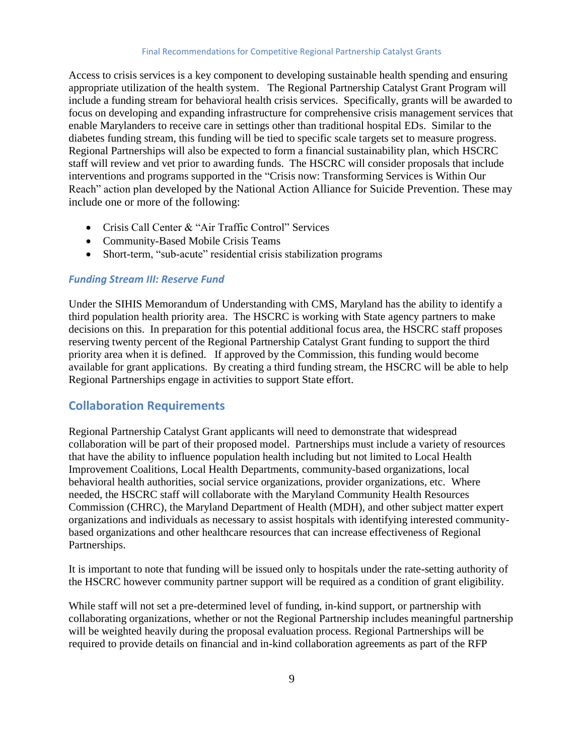Access to crisis services is a key component to developing sustainable health spending and ensuring appropriate utilization of the health system. The Regional Partnership Catalyst Grant Program will include a funding stream for behavioral health crisis services. Specifically, grants will be awarded to focus on developing and expanding infrastructure for comprehensive crisis management services that enable Marylanders to receive care in settings other than traditional hospital EDs. Similar to the diabetes funding stream, this funding will be tied to specific scale targets set to measure progress. Regional Partnerships will also be expected to form a financial sustainability plan, which HSCRC staff will review and vet prior to awarding funds. The HSCRC will consider proposals that include interventions and programs supported in the "Crisis now: Transforming Services is Within Our Reach" action plan developed by the National Action Alliance for Suicide Prevention. These may include one or more of the following:

- Crisis Call Center & "Air Traffic Control" Services
- Community-Based Mobile Crisis Teams
- Short-term, "sub-acute" residential crisis stabilization programs

#### *Funding Stream III: Reserve Fund*

Under the SIHIS Memorandum of Understanding with CMS, Maryland has the ability to identify a third population health priority area. The HSCRC is working with State agency partners to make decisions on this. In preparation for this potential additional focus area, the HSCRC staff proposes reserving twenty percent of the Regional Partnership Catalyst Grant funding to support the third priority area when it is defined. If approved by the Commission, this funding would become available for grant applications. By creating a third funding stream, the HSCRC will be able to help Regional Partnerships engage in activities to support State effort.

## <span id="page-10-0"></span>**Collaboration Requirements**

Regional Partnership Catalyst Grant applicants will need to demonstrate that widespread collaboration will be part of their proposed model. Partnerships must include a variety of resources that have the ability to influence population health including but not limited to Local Health Improvement Coalitions, Local Health Departments, community-based organizations, local behavioral health authorities, social service organizations, provider organizations, etc. Where needed, the HSCRC staff will collaborate with the Maryland Community Health Resources Commission (CHRC), the Maryland Department of Health (MDH), and other subject matter expert organizations and individuals as necessary to assist hospitals with identifying interested communitybased organizations and other healthcare resources that can increase effectiveness of Regional Partnerships.

It is important to note that funding will be issued only to hospitals under the rate-setting authority of the HSCRC however community partner support will be required as a condition of grant eligibility.

While staff will not set a pre-determined level of funding, in-kind support, or partnership with collaborating organizations, whether or not the Regional Partnership includes meaningful partnership will be weighted heavily during the proposal evaluation process. Regional Partnerships will be required to provide details on financial and in-kind collaboration agreements as part of the RFP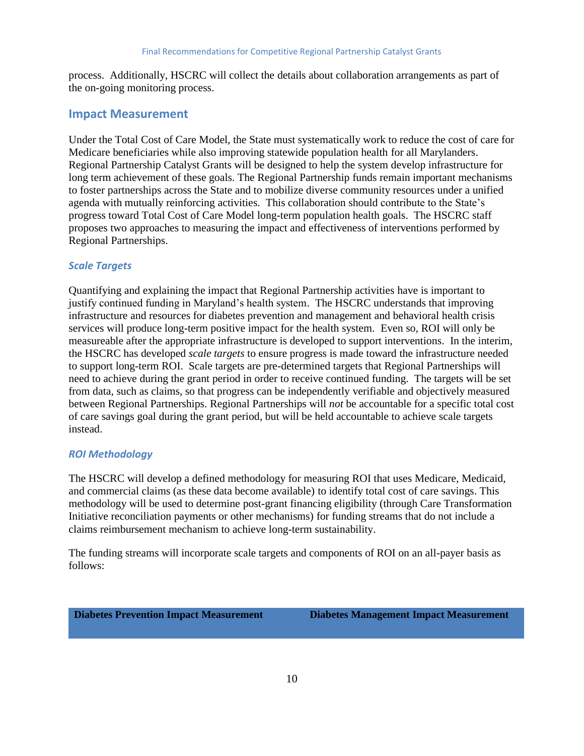process. Additionally, HSCRC will collect the details about collaboration arrangements as part of the on-going monitoring process.

### <span id="page-11-0"></span>**Impact Measurement**

Under the Total Cost of Care Model, the State must systematically work to reduce the cost of care for Medicare beneficiaries while also improving statewide population health for all Marylanders. Regional Partnership Catalyst Grants will be designed to help the system develop infrastructure for long term achievement of these goals. The Regional Partnership funds remain important mechanisms to foster partnerships across the State and to mobilize diverse community resources under a unified agenda with mutually reinforcing activities. This collaboration should contribute to the State's progress toward Total Cost of Care Model long-term population health goals. The HSCRC staff proposes two approaches to measuring the impact and effectiveness of interventions performed by Regional Partnerships.

#### *Scale Targets*

Quantifying and explaining the impact that Regional Partnership activities have is important to justify continued funding in Maryland's health system. The HSCRC understands that improving infrastructure and resources for diabetes prevention and management and behavioral health crisis services will produce long-term positive impact for the health system. Even so, ROI will only be measureable after the appropriate infrastructure is developed to support interventions. In the interim, the HSCRC has developed *scale targets* to ensure progress is made toward the infrastructure needed to support long-term ROI. Scale targets are pre-determined targets that Regional Partnerships will need to achieve during the grant period in order to receive continued funding. The targets will be set from data, such as claims, so that progress can be independently verifiable and objectively measured between Regional Partnerships. Regional Partnerships will *not* be accountable for a specific total cost of care savings goal during the grant period, but will be held accountable to achieve scale targets instead.

#### *ROI Methodology*

The HSCRC will develop a defined methodology for measuring ROI that uses Medicare, Medicaid, and commercial claims (as these data become available) to identify total cost of care savings. This methodology will be used to determine post-grant financing eligibility (through Care Transformation Initiative reconciliation payments or other mechanisms) for funding streams that do not include a claims reimbursement mechanism to achieve long-term sustainability.

The funding streams will incorporate scale targets and components of ROI on an all-payer basis as follows:

**Diabetes Prevention Impact Measurement Diabetes Management Impact Measurement**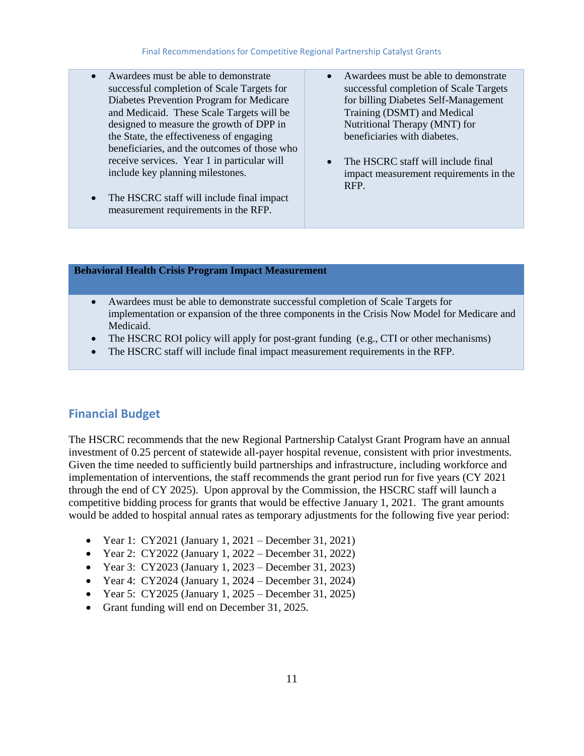- Awardees must be able to demonstrate successful completion of Scale Targets for Diabetes Prevention Program for Medicare and Medicaid. These Scale Targets will be designed to measure the growth of DPP in the State, the effectiveness of engaging beneficiaries, and the outcomes of those who receive services. Year 1 in particular will include key planning milestones.
- The HSCRC staff will include final impact measurement requirements in the RFP.
- Awardees must be able to demonstrate successful completion of Scale Targets for billing Diabetes Self-Management Training (DSMT) and Medical Nutritional Therapy (MNT) for beneficiaries with diabetes.
- The HSCRC staff will include final impact measurement requirements in the RFP.

#### **Behavioral Health Crisis Program Impact Measurement**

- Awardees must be able to demonstrate successful completion of Scale Targets for implementation or expansion of the three components in the Crisis Now Model for Medicare and Medicaid.
- The HSCRC ROI policy will apply for post-grant funding (e.g., CTI or other mechanisms)
- The HSCRC staff will include final impact measurement requirements in the RFP.

#### <span id="page-12-0"></span>**Financial Budget**

The HSCRC recommends that the new Regional Partnership Catalyst Grant Program have an annual investment of 0.25 percent of statewide all-payer hospital revenue, consistent with prior investments. Given the time needed to sufficiently build partnerships and infrastructure, including workforce and implementation of interventions, the staff recommends the grant period run for five years (CY 2021 through the end of CY 2025). Upon approval by the Commission, the HSCRC staff will launch a competitive bidding process for grants that would be effective January 1, 2021. The grant amounts would be added to hospital annual rates as temporary adjustments for the following five year period:

- Year 1: CY2021 (January 1, 2021 December 31, 2021)
- Year 2: CY2022 (January 1, 2022 December 31, 2022)
- Year 3: CY2023 (January 1, 2023 December 31, 2023)
- Year 4: CY2024 (January 1, 2024 December 31, 2024)
- Year 5: CY2025 (January 1, 2025 December 31, 2025)
- Grant funding will end on December 31, 2025.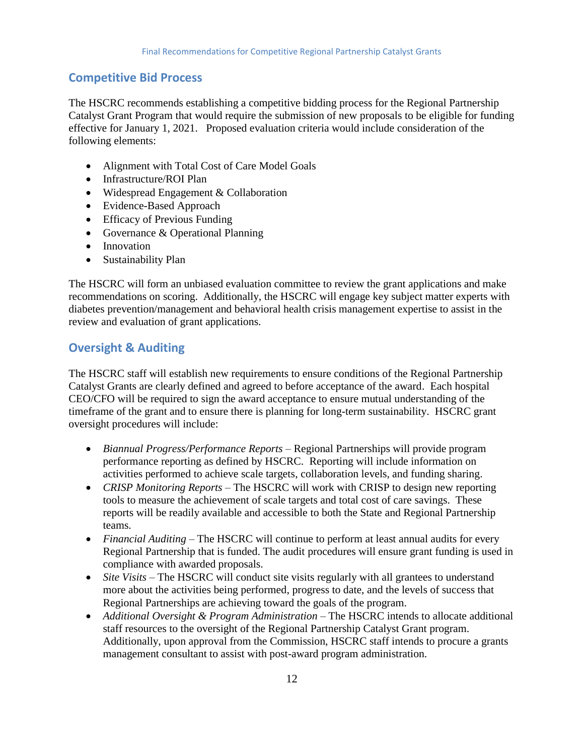## <span id="page-13-0"></span>**Competitive Bid Process**

The HSCRC recommends establishing a competitive bidding process for the Regional Partnership Catalyst Grant Program that would require the submission of new proposals to be eligible for funding effective for January 1, 2021. Proposed evaluation criteria would include consideration of the following elements:

- Alignment with Total Cost of Care Model Goals
- Infrastructure/ROI Plan
- Widespread Engagement & Collaboration
- Evidence-Based Approach
- Efficacy of Previous Funding
- Governance & Operational Planning
- Innovation
- Sustainability Plan

The HSCRC will form an unbiased evaluation committee to review the grant applications and make recommendations on scoring. Additionally, the HSCRC will engage key subject matter experts with diabetes prevention/management and behavioral health crisis management expertise to assist in the review and evaluation of grant applications.

## <span id="page-13-1"></span>**Oversight & Auditing**

The HSCRC staff will establish new requirements to ensure conditions of the Regional Partnership Catalyst Grants are clearly defined and agreed to before acceptance of the award. Each hospital CEO/CFO will be required to sign the award acceptance to ensure mutual understanding of the timeframe of the grant and to ensure there is planning for long-term sustainability. HSCRC grant oversight procedures will include:

- *Biannual Progress/Performance Reports* Regional Partnerships will provide program performance reporting as defined by HSCRC. Reporting will include information on activities performed to achieve scale targets, collaboration levels, and funding sharing.
- *CRISP Monitoring Reports* The HSCRC will work with CRISP to design new reporting tools to measure the achievement of scale targets and total cost of care savings. These reports will be readily available and accessible to both the State and Regional Partnership teams.
- *Financial Auditing* The HSCRC will continue to perform at least annual audits for every Regional Partnership that is funded. The audit procedures will ensure grant funding is used in compliance with awarded proposals.
- *Site Visits* The HSCRC will conduct site visits regularly with all grantees to understand more about the activities being performed, progress to date, and the levels of success that Regional Partnerships are achieving toward the goals of the program.
- *Additional Oversight & Program Administration –* The HSCRC intends to allocate additional staff resources to the oversight of the Regional Partnership Catalyst Grant program. Additionally, upon approval from the Commission, HSCRC staff intends to procure a grants management consultant to assist with post-award program administration.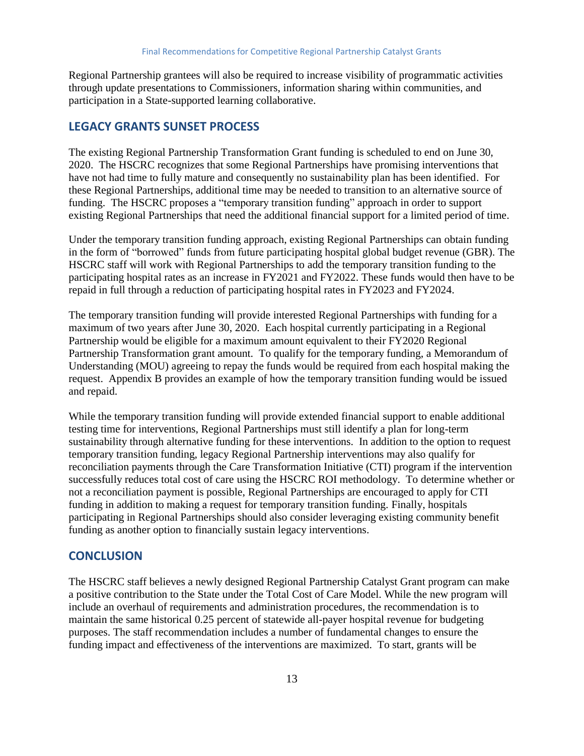Regional Partnership grantees will also be required to increase visibility of programmatic activities through update presentations to Commissioners, information sharing within communities, and participation in a State-supported learning collaborative.

#### <span id="page-14-0"></span>**LEGACY GRANTS SUNSET PROCESS**

The existing Regional Partnership Transformation Grant funding is scheduled to end on June 30, 2020. The HSCRC recognizes that some Regional Partnerships have promising interventions that have not had time to fully mature and consequently no sustainability plan has been identified. For these Regional Partnerships, additional time may be needed to transition to an alternative source of funding. The HSCRC proposes a "temporary transition funding" approach in order to support existing Regional Partnerships that need the additional financial support for a limited period of time.

Under the temporary transition funding approach, existing Regional Partnerships can obtain funding in the form of "borrowed" funds from future participating hospital global budget revenue (GBR). The HSCRC staff will work with Regional Partnerships to add the temporary transition funding to the participating hospital rates as an increase in FY2021 and FY2022. These funds would then have to be repaid in full through a reduction of participating hospital rates in FY2023 and FY2024.

The temporary transition funding will provide interested Regional Partnerships with funding for a maximum of two years after June 30, 2020. Each hospital currently participating in a Regional Partnership would be eligible for a maximum amount equivalent to their FY2020 Regional Partnership Transformation grant amount. To qualify for the temporary funding, a Memorandum of Understanding (MOU) agreeing to repay the funds would be required from each hospital making the request. Appendix B provides an example of how the temporary transition funding would be issued and repaid.

While the temporary transition funding will provide extended financial support to enable additional testing time for interventions, Regional Partnerships must still identify a plan for long-term sustainability through alternative funding for these interventions. In addition to the option to request temporary transition funding, legacy Regional Partnership interventions may also qualify for reconciliation payments through the Care Transformation Initiative (CTI) program if the intervention successfully reduces total cost of care using the HSCRC ROI methodology. To determine whether or not a reconciliation payment is possible, Regional Partnerships are encouraged to apply for CTI funding in addition to making a request for temporary transition funding. Finally, hospitals participating in Regional Partnerships should also consider leveraging existing community benefit funding as another option to financially sustain legacy interventions.

#### <span id="page-14-1"></span>**CONCLUSION**

The HSCRC staff believes a newly designed Regional Partnership Catalyst Grant program can make a positive contribution to the State under the Total Cost of Care Model. While the new program will include an overhaul of requirements and administration procedures, the recommendation is to maintain the same historical 0.25 percent of statewide all-payer hospital revenue for budgeting purposes. The staff recommendation includes a number of fundamental changes to ensure the funding impact and effectiveness of the interventions are maximized. To start, grants will be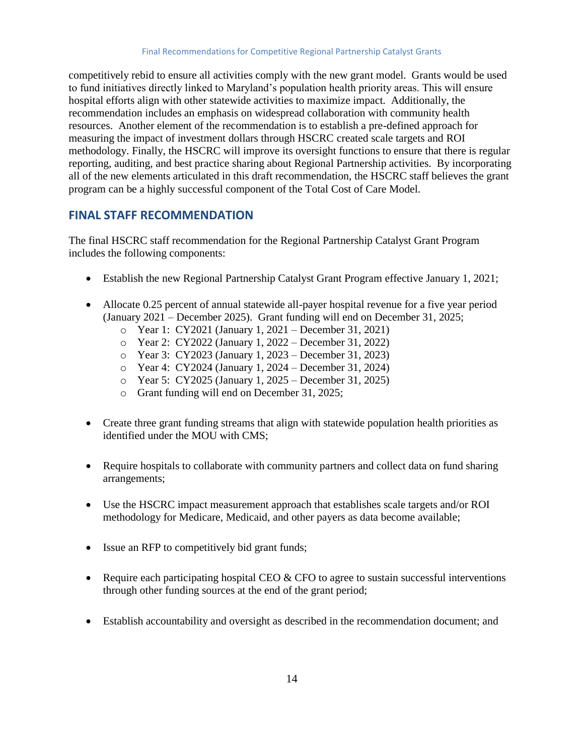competitively rebid to ensure all activities comply with the new grant model. Grants would be used to fund initiatives directly linked to Maryland's population health priority areas. This will ensure hospital efforts align with other statewide activities to maximize impact. Additionally, the recommendation includes an emphasis on widespread collaboration with community health resources. Another element of the recommendation is to establish a pre-defined approach for measuring the impact of investment dollars through HSCRC created scale targets and ROI methodology. Finally, the HSCRC will improve its oversight functions to ensure that there is regular reporting, auditing, and best practice sharing about Regional Partnership activities. By incorporating all of the new elements articulated in this draft recommendation, the HSCRC staff believes the grant program can be a highly successful component of the Total Cost of Care Model.

## <span id="page-15-0"></span>**FINAL STAFF RECOMMENDATION**

The final HSCRC staff recommendation for the Regional Partnership Catalyst Grant Program includes the following components:

- Establish the new Regional Partnership Catalyst Grant Program effective January 1, 2021;
- Allocate 0.25 percent of annual statewide all-payer hospital revenue for a five year period (January 2021 – December 2025). Grant funding will end on December 31, 2025;
	- o Year 1: CY2021 (January 1, 2021 December 31, 2021)
	- o Year 2: CY2022 (January 1, 2022 December 31, 2022)
	- o Year 3: CY2023 (January 1, 2023 December 31, 2023)
	- o Year 4: CY2024 (January 1, 2024 December 31, 2024)
	- o Year 5: CY2025 (January 1, 2025 December 31, 2025)
	- o Grant funding will end on December 31, 2025;
- Create three grant funding streams that align with statewide population health priorities as identified under the MOU with CMS;
- Require hospitals to collaborate with community partners and collect data on fund sharing arrangements;
- Use the HSCRC impact measurement approach that establishes scale targets and/or ROI methodology for Medicare, Medicaid, and other payers as data become available;
- Issue an RFP to competitively bid grant funds;
- Require each participating hospital CEO  $&$  CFO to agree to sustain successful interventions through other funding sources at the end of the grant period;
- Establish accountability and oversight as described in the recommendation document; and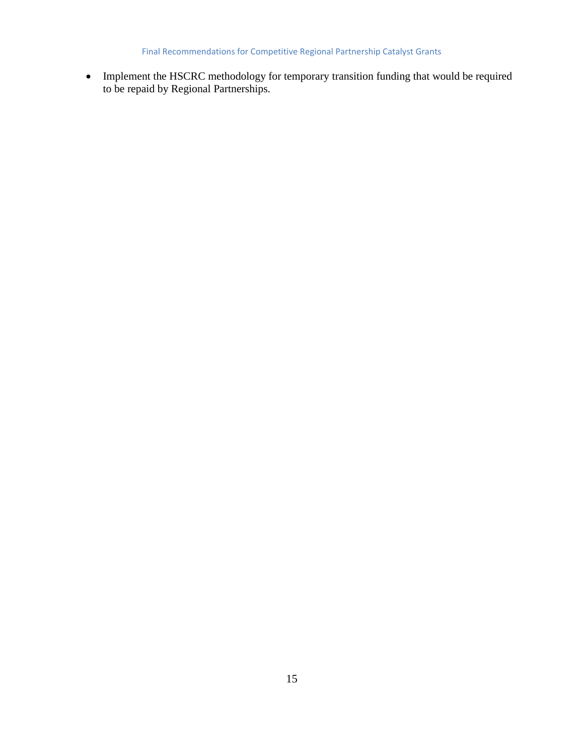Final Recommendations for Competitive Regional Partnership Catalyst Grants

• Implement the HSCRC methodology for temporary transition funding that would be required to be repaid by Regional Partnerships.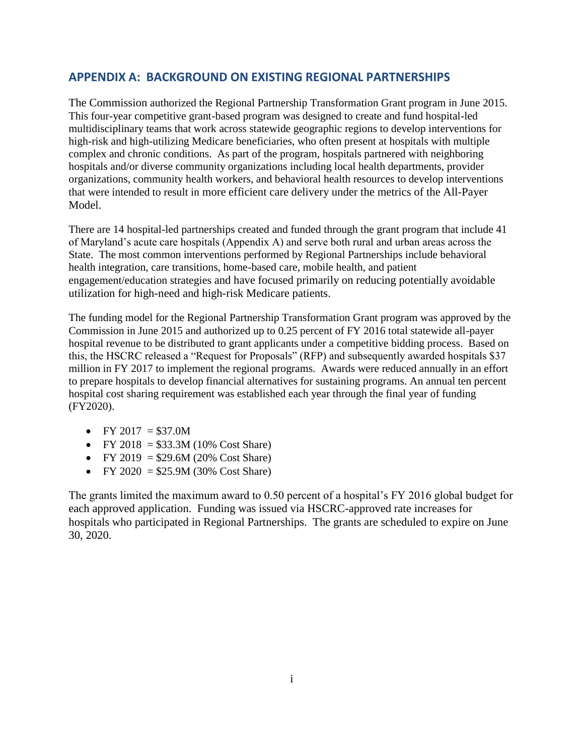## <span id="page-17-0"></span>**APPENDIX A: BACKGROUND ON EXISTING REGIONAL PARTNERSHIPS**

The Commission authorized the Regional Partnership Transformation Grant program in June 2015. This four-year competitive grant-based program was designed to create and fund hospital-led multidisciplinary teams that work across statewide geographic regions to develop interventions for high-risk and high-utilizing Medicare beneficiaries, who often present at hospitals with multiple complex and chronic conditions. As part of the program, hospitals partnered with neighboring hospitals and/or diverse community organizations including local health departments, provider organizations, community health workers, and behavioral health resources to develop interventions that were intended to result in more efficient care delivery under the metrics of the All-Payer Model.

There are 14 hospital-led partnerships created and funded through the grant program that include 41 of Maryland's acute care hospitals (Appendix A) and serve both rural and urban areas across the State. The most common interventions performed by Regional Partnerships include behavioral health integration, care transitions, home-based care, mobile health, and patient engagement/education strategies and have focused primarily on reducing potentially avoidable utilization for high-need and high-risk Medicare patients.

The funding model for the Regional Partnership Transformation Grant program was approved by the Commission in June 2015 and authorized up to 0.25 percent of FY 2016 total statewide all-payer hospital revenue to be distributed to grant applicants under a competitive bidding process. Based on this, the HSCRC released a "Request for Proposals" (RFP) and subsequently awarded hospitals \$37 million in FY 2017 to implement the regional programs. Awards were reduced annually in an effort to prepare hospitals to develop financial alternatives for sustaining programs. An annual ten percent hospital cost sharing requirement was established each year through the final year of funding (FY2020).

- FY 2017 =  $$37.0M$
- FY 2018 =  $$33.3M$  (10% Cost Share)
- FY 2019 =  $$29.6M (20% CostShare)$
- FY 2020 = \$25.9M (30% Cost Share)

The grants limited the maximum award to 0.50 percent of a hospital's FY 2016 global budget for each approved application. Funding was issued via HSCRC-approved rate increases for hospitals who participated in Regional Partnerships. The grants are scheduled to expire on June 30, 2020.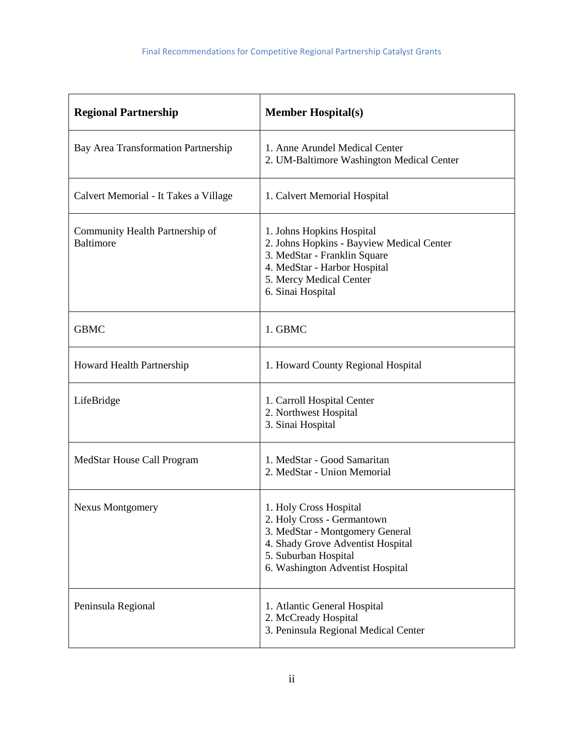| <b>Regional Partnership</b>                         | <b>Member Hospital(s)</b>                                                                                                                                                                |
|-----------------------------------------------------|------------------------------------------------------------------------------------------------------------------------------------------------------------------------------------------|
| Bay Area Transformation Partnership                 | 1. Anne Arundel Medical Center<br>2. UM-Baltimore Washington Medical Center                                                                                                              |
| Calvert Memorial - It Takes a Village               | 1. Calvert Memorial Hospital                                                                                                                                                             |
| Community Health Partnership of<br><b>Baltimore</b> | 1. Johns Hopkins Hospital<br>2. Johns Hopkins - Bayview Medical Center<br>3. MedStar - Franklin Square<br>4. MedStar - Harbor Hospital<br>5. Mercy Medical Center<br>6. Sinai Hospital   |
| <b>GBMC</b>                                         | 1. GBMC                                                                                                                                                                                  |
| Howard Health Partnership                           | 1. Howard County Regional Hospital                                                                                                                                                       |
| LifeBridge                                          | 1. Carroll Hospital Center<br>2. Northwest Hospital<br>3. Sinai Hospital                                                                                                                 |
| MedStar House Call Program                          | 1. MedStar - Good Samaritan<br>2. MedStar - Union Memorial                                                                                                                               |
| <b>Nexus Montgomery</b>                             | 1. Holy Cross Hospital<br>2. Holy Cross - Germantown<br>3. MedStar - Montgomery General<br>4. Shady Grove Adventist Hospital<br>5. Suburban Hospital<br>6. Washington Adventist Hospital |
| Peninsula Regional                                  | 1. Atlantic General Hospital<br>2. McCready Hospital<br>3. Peninsula Regional Medical Center                                                                                             |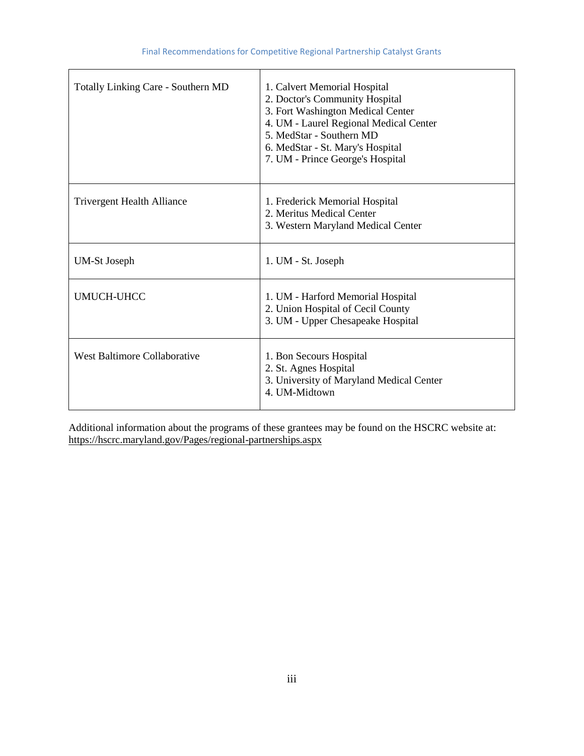| <b>Totally Linking Care - Southern MD</b> | 1. Calvert Memorial Hospital<br>2. Doctor's Community Hospital<br>3. Fort Washington Medical Center<br>4. UM - Laurel Regional Medical Center<br>5. MedStar - Southern MD<br>6. MedStar - St. Mary's Hospital<br>7. UM - Prince George's Hospital |
|-------------------------------------------|---------------------------------------------------------------------------------------------------------------------------------------------------------------------------------------------------------------------------------------------------|
| <b>Trivergent Health Alliance</b>         | 1. Frederick Memorial Hospital<br>2. Meritus Medical Center<br>3. Western Maryland Medical Center                                                                                                                                                 |
| <b>UM-St Joseph</b>                       | 1. UM - St. Joseph                                                                                                                                                                                                                                |
| <b>UMUCH-UHCC</b>                         | 1. UM - Harford Memorial Hospital<br>2. Union Hospital of Cecil County<br>3. UM - Upper Chesapeake Hospital                                                                                                                                       |
| West Baltimore Collaborative              | 1. Bon Secours Hospital<br>2. St. Agnes Hospital<br>3. University of Maryland Medical Center<br>4. UM-Midtown                                                                                                                                     |

Additional information about the programs of these grantees may be found on the HSCRC website at: <https://hscrc.maryland.gov/Pages/regional-partnerships.aspx>